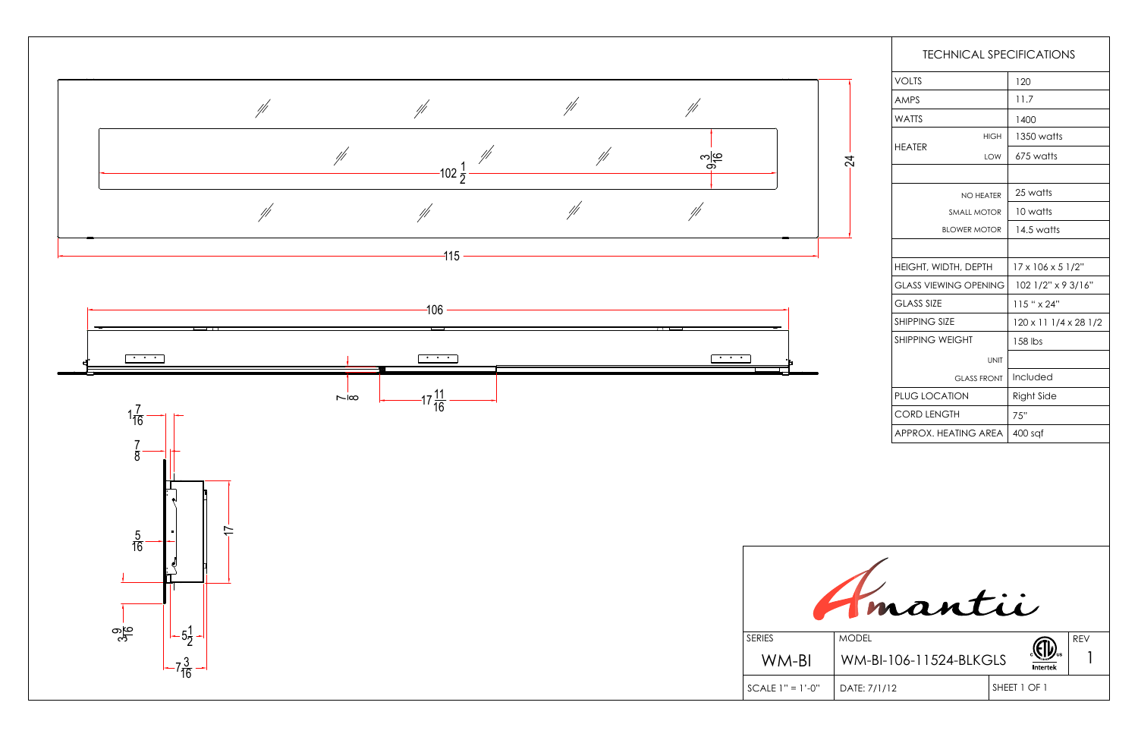

| 120                             |
|---------------------------------|
| 11.7                            |
| 1400                            |
| 1350 watts                      |
| 675 watts                       |
|                                 |
| 25 watts                        |
| 10 watts                        |
| 14.5 watts                      |
|                                 |
| $17 \times 106 \times 5$ $1/2"$ |
| 102 1/2" x 9 3/16"              |
| $115$ " $\times$ 24"            |
| 120 x 11 1/4 x 28 1/2           |
| 158 lbs                         |
|                                 |
| Included                        |
| <b>Right Side</b>               |
| 75"                             |
| $400$ sqf                       |
|                                 |